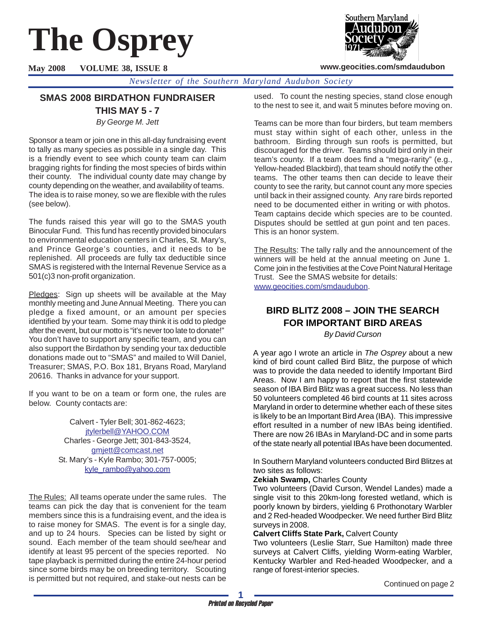# **The Osprey**

**May 2008 VOLUME 38, ISSUE 8**



## **www.geocities.com/smdaudubon**

*Newsletter of the Southern Maryland Audubon Society*

# **SMAS 2008 BIRDATHON FUNDRAISER**

**THIS MAY 5 - 7** *By George M. Jett*

Sponsor a team or join one in this all-day fundraising event to tally as many species as possible in a single day. This is a friendly event to see which county team can claim bragging rights for finding the most species of birds within their county. The individual county date may change by county depending on the weather, and availability of teams. The idea is to raise money, so we are flexible with the rules (see below).

The funds raised this year will go to the SMAS youth Binocular Fund. This fund has recently provided binoculars to environmental education centers in Charles, St. Mary's, and Prince George's counties, and it needs to be replenished. All proceeds are fully tax deductible since SMAS is registered with the Internal Revenue Service as a 501(c)3 non-profit organization.

Pledges: Sign up sheets will be available at the May monthly meeting and June Annual Meeting. There you can pledge a fixed amount, or an amount per species identified by your team. Some may think it is odd to pledge after the event, but our motto is "it's never too late to donate!" You don't have to support any specific team, and you can also support the Birdathon by sending your tax deductible donations made out to "SMAS" and mailed to Will Daniel, Treasurer; SMAS, P.O. Box 181, Bryans Road, Maryland 20616. Thanks in advance for your support.

If you want to be on a team or form one, the rules are below. County contacts are:

> Calvert - Tyler Bell; 301-862-4623; jtylerbell@YAHOO.COM Charles - George Jett; 301-843-3524, gmjett@comcast.net St. Mary's - Kyle Rambo; 301-757-0005; kyle\_rambo@yahoo.com

The Rules: All teams operate under the same rules. The teams can pick the day that is convenient for the team members since this is a fundraising event, and the idea is to raise money for SMAS. The event is for a single day, and up to 24 hours. Species can be listed by sight or sound. Each member of the team should see/hear and identify at least 95 percent of the species reported. No tape playback is permitted during the entire 24-hour period since some birds may be on breeding territory. Scouting is permitted but not required, and stake-out nests can be used. To count the nesting species, stand close enough to the nest to see it, and wait 5 minutes before moving on.

Teams can be more than four birders, but team members must stay within sight of each other, unless in the bathroom. Birding through sun roofs is permitted, but discouraged for the driver. Teams should bird only in their team's county. If a team does find a "mega-rarity" (e.g., Yellow-headed Blackbird), that team should notify the other teams. The other teams then can decide to leave their county to see the rarity, but cannot count any more species until back in their assigned county. Any rare birds reported need to be documented either in writing or with photos. Team captains decide which species are to be counted. Disputes should be settled at gun point and ten paces. This is an honor system.

The Results: The tally rally and the announcement of the winners will be held at the annual meeting on June 1. Come join in the festivities at the Cove Point Natural Heritage Trust. See the SMAS website for details: www.geocities.com/smdaudubon.

# **BIRD BLITZ 2008 – JOIN THE SEARCH FOR IMPORTANT BIRD AREAS**

*By David Curson*

A year ago I wrote an article in *The Osprey* about a new kind of bird count called Bird Blitz, the purpose of which was to provide the data needed to identify Important Bird Areas. Now I am happy to report that the first statewide season of IBA Bird Blitz was a great success. No less than 50 volunteers completed 46 bird counts at 11 sites across Maryland in order to determine whether each of these sites is likely to be an Important Bird Area (IBA). This impressive effort resulted in a number of new IBAs being identified. There are now 26 IBAs in Maryland-DC and in some parts of the state nearly all potential IBAs have been documented.

In Southern Maryland volunteers conducted Bird Blitzes at two sites as follows:

## **Zekiah Swamp,** Charles County

Two volunteers (David Curson, Wendel Landes) made a single visit to this 20km-long forested wetland, which is poorly known by birders, yielding 6 Prothonotary Warbler and 2 Red-headed Woodpecker. We need further Bird Blitz surveys in 2008.

## **Calvert Cliffs State Park,** Calvert County

Two volunteers (Leslie Starr, Sue Hamilton) made three surveys at Calvert Cliffs, yielding Worm-eating Warbler, Kentucky Warbler and Red-headed Woodpecker, and a range of forest-interior species.

Continued on page 2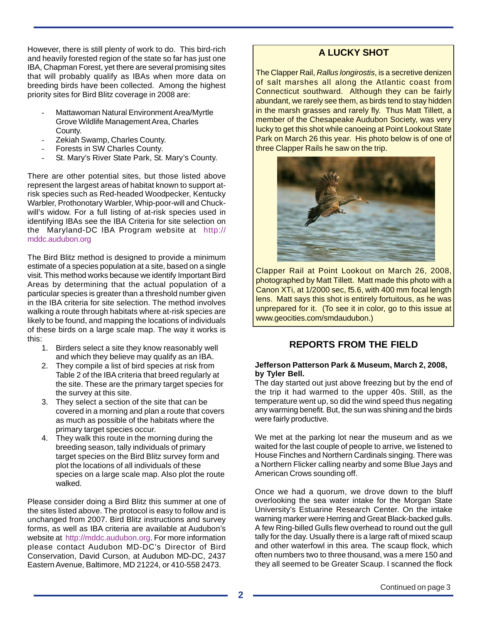However, there is still plenty of work to do. This bird-rich and heavily forested region of the state so far has just one IBA, Chapman Forest, yet there are several promising sites that will probably qualify as IBAs when more data on breeding birds have been collected. Among the highest priority sites for Bird Blitz coverage in 2008 are:

- Mattawoman Natural Environment Area/Myrtle Grove Wildlife Management Area, Charles County.
- Zekiah Swamp, Charles County.
- Forests in SW Charles County.
- St. Mary's River State Park, St. Mary's County.

There are other potential sites, but those listed above represent the largest areas of habitat known to support atrisk species such as Red-headed Woodpecker, Kentucky Warbler, Prothonotary Warbler, Whip-poor-will and Chuckwill's widow. For a full listing of at-risk species used in identifying IBAs see the IBA Criteria for site selection on the Maryland-DC IBA Program website at http:// mddc.audubon.org

The Bird Blitz method is designed to provide a minimum estimate of a species population at a site, based on a single visit. This method works because we identify Important Bird Areas by determining that the actual population of a particular species is greater than a threshold number given in the IBA criteria for site selection. The method involves walking a route through habitats where at-risk species are likely to be found, and mapping the locations of individuals of these birds on a large scale map. The way it works is this:

- 1. Birders select a site they know reasonably well and which they believe may qualify as an IBA.
- 2. They compile a list of bird species at risk from Table 2 of the IBA criteria that breed regularly at the site. These are the primary target species for the survey at this site.
- 3. They select a section of the site that can be covered in a morning and plan a route that covers as much as possible of the habitats where the primary target species occur.
- 4. They walk this route in the morning during the breeding season, tally individuals of primary target species on the Bird Blitz survey form and plot the locations of all individuals of these species on a large scale map. Also plot the route walked.

Please consider doing a Bird Blitz this summer at one of the sites listed above. The protocol is easy to follow and is unchanged from 2007. Bird Blitz instructions and survey forms, as well as IBA criteria are available at Audubon's website at http://mddc.audubon.org. For more information please contact Audubon MD-DC's Director of Bird Conservation, David Curson, at Audubon MD-DC, 2437 Eastern Avenue, Baltimore, MD 21224, or 410-558 2473.

# **A LUCKY SHOT**

The Clapper Rail, *Rallus longirostis*, is a secretive denizen of salt marshes all along the Atlantic coast from Connecticut southward. Although they can be fairly abundant, we rarely see them, as birds tend to stay hidden in the marsh grasses and rarely fly. Thus Matt Tillett, a member of the Chesapeake Audubon Society, was very lucky to get this shot while canoeing at Point Lookout State Park on March 26 this year. His photo below is of one of three Clapper Rails he saw on the trip.



Clapper Rail at Point Lookout on March 26, 2008, photographed by Matt Tillett. Matt made this photo with a Canon XTi, at 1/2000 sec, f5.6, with 400 mm focal length lens. Matt says this shot is entirely fortuitous, as he was unprepared for it. (To see it in color, go to this issue at www.geocities.com/smdaudubon.)

# **REPORTS FROM THE FIELD**

## **Jefferson Patterson Park & Museum, March 2, 2008, by Tyler Bell.**

The day started out just above freezing but by the end of the trip it had warmed to the upper 40s. Still, as the temperature went up, so did the wind speed thus negating any warming benefit. But, the sun was shining and the birds were fairly productive.

We met at the parking lot near the museum and as we waited for the last couple of people to arrive, we listened to House Finches and Northern Cardinals singing. There was a Northern Flicker calling nearby and some Blue Jays and American Crows sounding off.

Once we had a quorum, we drove down to the bluff overlooking the sea water intake for the Morgan State University's Estuarine Research Center. On the intake warning marker were Herring and Great Black-backed gulls. A few Ring-billed Gulls flew overhead to round out the gull tally for the day. Usually there is a large raft of mixed scaup and other waterfowl in this area. The scaup flock, which often numbers two to three thousand, was a mere 150 and they all seemed to be Greater Scaup. I scanned the flock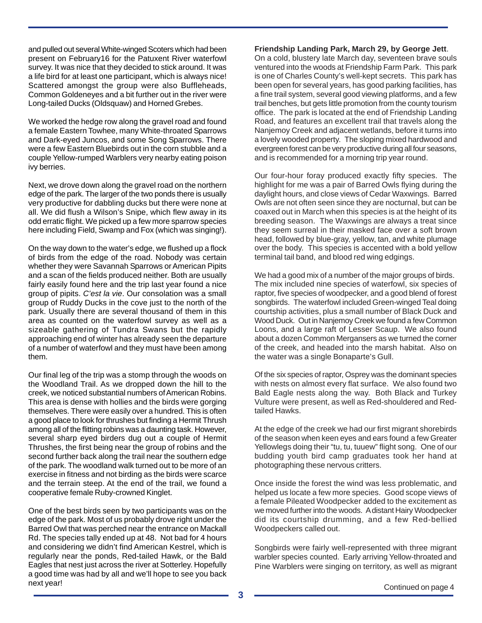and pulled out several White-winged Scoters which had been present on February16 for the Patuxent River waterfowl survey. It was nice that they decided to stick around. It was a life bird for at least one participant, which is always nice! Scattered amongst the group were also Buffleheads, Common Goldeneyes and a bit further out in the river were Long-tailed Ducks (Oldsquaw) and Horned Grebes.

We worked the hedge row along the gravel road and found a female Eastern Towhee, many White-throated Sparrows and Dark-eyed Juncos, and some Song Sparrows. There were a few Eastern Bluebirds out in the corn stubble and a couple Yellow-rumped Warblers very nearby eating poison ivy berries.

Next, we drove down along the gravel road on the northern edge of the park. The larger of the two ponds there is usually very productive for dabbling ducks but there were none at all. We did flush a Wilson's Snipe, which flew away in its odd erratic flight. We picked up a few more sparrow species here including Field, Swamp and Fox (which was singing!).

On the way down to the water's edge, we flushed up a flock of birds from the edge of the road. Nobody was certain whether they were Savannah Sparrows or American Pipits and a scan of the fields produced neither. Both are usually fairly easily found here and the trip last year found a nice group of pipits. *C'est la vie*. Our consolation was a small group of Ruddy Ducks in the cove just to the north of the park. Usually there are several thousand of them in this area as counted on the waterfowl survey as well as a sizeable gathering of Tundra Swans but the rapidly approaching end of winter has already seen the departure of a number of waterfowl and they must have been among them.

Our final leg of the trip was a stomp through the woods on the Woodland Trail. As we dropped down the hill to the creek, we noticed substantial numbers of American Robins. This area is dense with hollies and the birds were gorging themselves. There were easily over a hundred. This is often a good place to look for thrushes but finding a Hermit Thrush among all of the flitting robins was a daunting task. However, several sharp eyed birders dug out a couple of Hermit Thrushes, the first being near the group of robins and the second further back along the trail near the southern edge of the park. The woodland walk turned out to be more of an exercise in fitness and not birding as the birds were scarce and the terrain steep. At the end of the trail, we found a cooperative female Ruby-crowned Kinglet.

One of the best birds seen by two participants was on the edge of the park. Most of us probably drove right under the Barred Owl that was perched near the entrance on Mackall Rd. The species tally ended up at 48. Not bad for 4 hours and considering we didn't find American Kestrel, which is regularly near the ponds, Red-tailed Hawk, or the Bald Eagles that nest just across the river at Sotterley. Hopefully a good time was had by all and we'll hope to see you back next year!<br>
Continued on page 4

**Friendship Landing Park, March 29, by George Jett**.

On a cold, blustery late March day, seventeen brave souls ventured into the woods at Friendship Farm Park. This park is one of Charles County's well-kept secrets. This park has been open for several years, has good parking facilities, has a fine trail system, several good viewing platforms, and a few trail benches, but gets little promotion from the county tourism office. The park is located at the end of Friendship Landing Road, and features an excellent trail that travels along the Nanjemoy Creek and adjacent wetlands, before it turns into a lovely wooded property. The sloping mixed hardwood and evergreen forest can be very productive during all four seasons, and is recommended for a morning trip year round.

Our four-hour foray produced exactly fifty species. The highlight for me was a pair of Barred Owls flying during the daylight hours, and close views of Cedar Waxwings. Barred Owls are not often seen since they are nocturnal, but can be coaxed out in March when this species is at the height of its breeding season. The Waxwings are always a treat since they seem surreal in their masked face over a soft brown head, followed by blue-gray, yellow, tan, and white plumage over the body. This species is accented with a bold yellow terminal tail band, and blood red wing edgings.

We had a good mix of a number of the major groups of birds. The mix included nine species of waterfowl, six species of raptor, five species of woodpecker, and a good blend of forest songbirds. The waterfowl included Green-winged Teal doing courtship activities, plus a small number of Black Duck and Wood Duck. Out in Nanjemoy Creek we found a few Common Loons, and a large raft of Lesser Scaup. We also found about a dozen Common Mergansers as we turned the corner of the creek, and headed into the marsh habitat. Also on the water was a single Bonaparte's Gull.

Of the six species of raptor, Osprey was the dominant species with nests on almost every flat surface. We also found two Bald Eagle nests along the way. Both Black and Turkey Vulture were present, as well as Red-shouldered and Redtailed Hawks.

At the edge of the creek we had our first migrant shorebirds of the season when keen eyes and ears found a few Greater Yellowlegs doing their "tu, tu, tuuew" flight song. One of our budding youth bird camp graduates took her hand at photographing these nervous critters.

Once inside the forest the wind was less problematic, and helped us locate a few more species. Good scope views of a female Pileated Woodpecker added to the excitement as we moved further into the woods. A distant Hairy Woodpecker did its courtship drumming, and a few Red-bellied Woodpeckers called out.

Songbirds were fairly well-represented with three migrant warbler species counted. Early arriving Yellow-throated and Pine Warblers were singing on territory, as well as migrant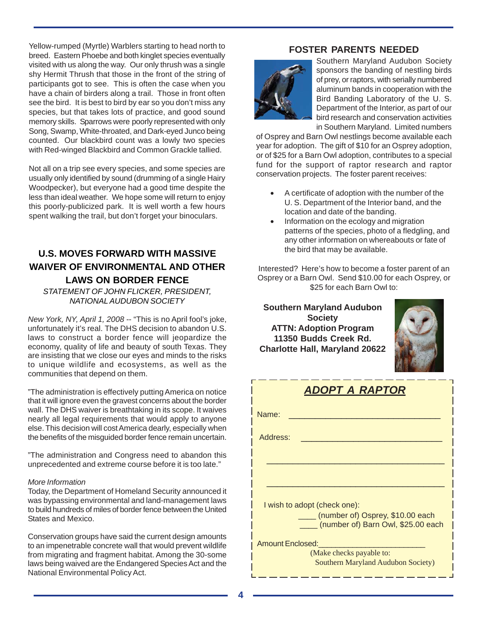Yellow-rumped (Myrtle) Warblers starting to head north to breed. Eastern Phoebe and both kinglet species eventually visited with us along the way. Our only thrush was a single shy Hermit Thrush that those in the front of the string of participants got to see. This is often the case when you have a chain of birders along a trail. Those in front often see the bird. It is best to bird by ear so you don't miss any species, but that takes lots of practice, and good sound memory skills. Sparrows were poorly represented with only Song, Swamp, White-throated, and Dark-eyed Junco being counted. Our blackbird count was a lowly two species with Red-winged Blackbird and Common Grackle tallied.

Not all on a trip see every species, and some species are usually only identified by sound (drumming of a single Hairy Woodpecker), but everyone had a good time despite the less than ideal weather. We hope some will return to enjoy this poorly-publicized park. It is well worth a few hours spent walking the trail, but don't forget your binoculars.

# **U.S. MOVES FORWARD WITH MASSIVE WAIVER OF ENVIRONMENTAL AND OTHER LAWS ON BORDER FENCE**

*STATEMENT OF JOHN FLICKER, PRESIDENT, NATIONAL AUDUBON SOCIETY*

*New York, NY, April 1, 2008 -*- "This is no April fool's joke, unfortunately it's real. The DHS decision to abandon U.S. laws to construct a border fence will jeopardize the economy, quality of life and beauty of south Texas. They are insisting that we close our eyes and minds to the risks to unique wildlife and ecosystems, as well as the communities that depend on them.

"The administration is effectively putting America on notice that it will ignore even the gravest concerns about the border wall. The DHS waiver is breathtaking in its scope. It waives nearly all legal requirements that would apply to anyone else. This decision will cost America dearly, especially when the benefits of the misguided border fence remain uncertain.

"The administration and Congress need to abandon this unprecedented and extreme course before it is too late."

#### *More Information*

Today, the Department of Homeland Security announced it was bypassing environmental and land-management laws to build hundreds of miles of border fence between the United States and Mexico.

Conservation groups have said the current design amounts to an impenetrable concrete wall that would prevent wildlife from migrating and fragment habitat. Among the 30-some laws being waived are the Endangered Species Act and the National Environmental Policy Act.

## **FOSTER PARENTS NEEDED**



Southern Maryland Audubon Society sponsors the banding of nestling birds of prey, or raptors, with serially numbered aluminum bands in cooperation with the Bird Banding Laboratory of the U. S. Department of the Interior, as part of our bird research and conservation activities in Southern Maryland. Limited numbers

of Osprey and Barn Owl nestlings become available each year for adoption. The gift of \$10 for an Osprey adoption, or of \$25 for a Barn Owl adoption, contributes to a special fund for the support of raptor research and raptor conservation projects. The foster parent receives:

- A certificate of adoption with the number of the U. S. Department of the Interior band, and the location and date of the banding.
- Information on the ecology and migration patterns of the species, photo of a fledgling, and any other information on whereabouts or fate of the bird that may be available.

Interested? Here's how to become a foster parent of an Osprey or a Barn Owl. Send \$10.00 for each Osprey, or \$25 for each Barn Owl to:

**Southern Maryland Audubon Society ATTN: Adoption Program 11350 Budds Creek Rd. Charlotte Hall, Maryland 20622**



| <b>ADOPT A RAPTOR</b>                                                  |  |  |  |  |  |  |
|------------------------------------------------------------------------|--|--|--|--|--|--|
| Name:                                                                  |  |  |  |  |  |  |
| Address:                                                               |  |  |  |  |  |  |
|                                                                        |  |  |  |  |  |  |
|                                                                        |  |  |  |  |  |  |
| I wish to adopt (check one):                                           |  |  |  |  |  |  |
| (number of) Osprey, \$10.00 each<br>(number of) Barn Owl, \$25.00 each |  |  |  |  |  |  |
| <b>Amount Enclosed:</b>                                                |  |  |  |  |  |  |
| (Make checks payable to:<br><b>Southern Maryland Audubon Society)</b>  |  |  |  |  |  |  |

— — — — — — — — — — —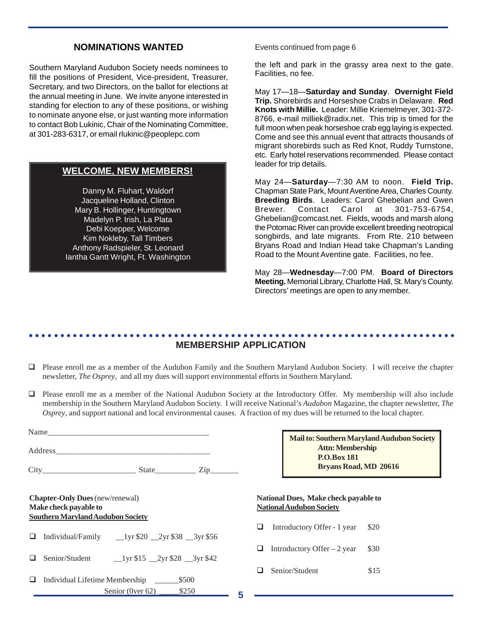# **NOMINATIONS WANTED**

Southern Maryland Audubon Society needs nominees to fill the positions of President, Vice-president, Treasurer, Secretary, and two Directors, on the ballot for elections at the annual meeting in June. We invite anyone interested in standing for election to any of these positions, or wishing to nominate anyone else, or just wanting more information to contact Bob Lukinic, Chair of the Nominating Committee, at 301-283-6317, or email rlukinic@peoplepc.com

## **WELCOME, NEW MEMBERS!**

Danny M. Fluhart, Waldorf Jacqueline Holland, Clinton Mary B. Hollinger, Huntingtown Madelyn P. Irish, La Plata Debi Koepper, Welcome Kim Nokleby, Tall Timbers Anthony Radspieler, St. Leonard Iantha Gantt Wright, Ft. Washington Events continued from page 6

the left and park in the grassy area next to the gate. Facilities, no fee.

May 17—18—**Saturday and Sunday**. **Overnight Field Trip.** Shorebirds and Horseshoe Crabs in Delaware. **Red Knots with Millie.** Leader: Millie Kriemelmeyer, 301-372- 8766, e-mail milliek@radix.net. This trip is timed for the full moon when peak horseshoe crab egg laying is expected. Come and see this annual event that attracts thousands of migrant shorebirds such as Red Knot, Ruddy Turnstone, etc. Early hotel reservations recommended. Please contact leader for trip details.

May 24—**Saturday**—7:30 AM to noon. **Field Trip.** Chapman State Park, Mount Aventine Area, Charles County. **Breeding Birds**. Leaders: Carol Ghebelian and Gwen Brewer. Contact Carol at 301-753-6754, Ghebelian@comcast.net. Fields, woods and marsh along the Potomac River can provide excellent breeding neotropical songbirds, and late migrants. From Rte. 210 between Bryans Road and Indian Head take Chapman's Landing Road to the Mount Aventine gate. Facilities, no fee.

May 28—**Wednesday**—7:00 PM. **Board of Directors Meeting.** Memorial Library, Charlotte Hall, St. Mary's County. Directors' meetings are open to any member.

#### ○○○○○○○○○○○○○○○○○○○○○○○○○○○○○○○○○○○○○○○○○○○○ ○○○○○○○○○○○○○○○○○○○○○○○○ **MEMBERSHIP APPLICATION**

- Please enroll me as a member of the Audubon Family and the Southern Maryland Audubon Society. I will receive the chapter newsletter, *The Osprey*, and all my dues will support environmental efforts in Southern Maryland.
- Please enroll me as a member of the National Audubon Society at the Introductory Offer. My membership will also include membership in the Southern Maryland Audubon Society. I will receive National's *Audubon* Magazine, the chapter newsletter, *The Osprey*, and support national and local environmental causes. A fraction of my dues will be returned to the local chapter.

|                                                                                                             |                                                                                                                                        |   |                                                                         | Mail to: Southern Maryland Audubon Society    |      |
|-------------------------------------------------------------------------------------------------------------|----------------------------------------------------------------------------------------------------------------------------------------|---|-------------------------------------------------------------------------|-----------------------------------------------|------|
|                                                                                                             |                                                                                                                                        |   |                                                                         | <b>Attn: Membership</b><br><b>P.O.Box 181</b> |      |
|                                                                                                             |                                                                                                                                        |   |                                                                         | Bryans Road, MD 20616                         |      |
| <b>Chapter-Only Dues</b> (new/renewal)<br>Make check payable to<br><b>Southern Maryland Audubon Society</b> |                                                                                                                                        |   | National Dues, Make check payable to<br><b>National Audubon Society</b> |                                               |      |
| ⊔                                                                                                           |                                                                                                                                        |   | ⊔                                                                       | Introductory Offer - 1 year                   | \$20 |
| ப                                                                                                           | Senior/Student $\qquad \qquad \frac{1}{\sqrt{5}} \frac{15}{29} \frac{2}{\sqrt{5}} \frac{28}{3} \frac{3}{\sqrt{5}} \frac{42}{\sqrt{5}}$ |   | ப                                                                       | Introductory Offer $-2$ year                  | \$30 |
| ❏                                                                                                           | \$500<br>Individual Lifetime Membership                                                                                                |   | ш                                                                       | Senior/Student                                | \$15 |
|                                                                                                             | \$250<br>Senior (0ver 62) $\overline{\phantom{a}}$                                                                                     | 5 |                                                                         |                                               |      |